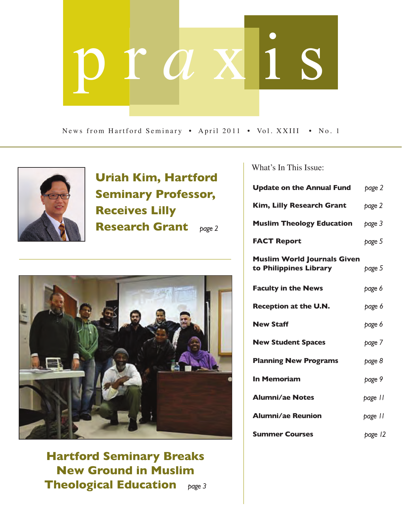# p r *a* x i s

News from Hartford Seminary • April 2011 • Vol. XXIII • No. 1



**Uriah Kim, Hartford Seminary Professor, Receives Lilly Research Grant** *page 2*



**Hartford Seminary Breaks New Ground in Muslim Theological Education** *page 3* What's In This Issue:

| <b>Update on the Annual Fund</b>                             | page 2  |
|--------------------------------------------------------------|---------|
| <b>Kim, Lilly Research Grant</b>                             | page 2  |
| <b>Muslim Theology Education</b>                             | page 3  |
| <b>FACT Report</b>                                           | page 5  |
| <b>Muslim World Journals Given</b><br>to Philippines Library | page 5  |
| <b>Faculty in the News</b>                                   | page 6  |
| <b>Reception at the U.N.</b>                                 | page 6  |
| <b>New Staff</b>                                             | page 6  |
| <b>New Student Spaces</b>                                    | page 7  |
| <b>Planning New Programs</b>                                 | page 8  |
| <b>In Memoriam</b>                                           | page 9  |
| <b>Alumni/ae Notes</b>                                       | page II |
| <b>Alumni/ae Reunion</b>                                     | page 11 |
| <b>Summer Courses</b>                                        | page 12 |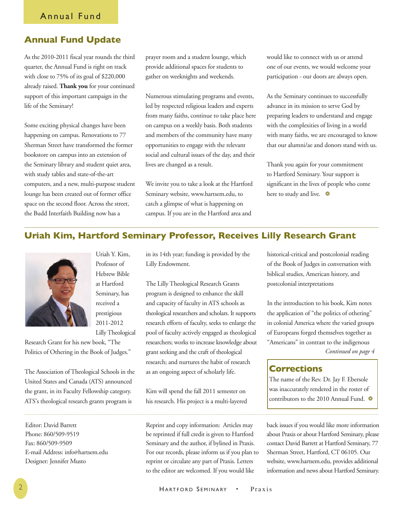# **Annual Fund Update**

As the 2010-2011 fiscal year rounds the third quarter, the Annual Fund is right on track with close to 75% of its goal of \$220,000 already raised. **Thank you** for your continued support of this important campaign in the life of the Seminary!

Some exciting physical changes have been happening on campus. Renovations to 77 Sherman Street have transformed the former bookstore on campus into an extension of the Seminary library and student quiet area, with study tables and state-of-the-art computers, and a new, multi-purpose student lounge has been created out of former office space on the second floor. Across the street, the Budd Interfaith Building now has a

prayer room and a student lounge, which provide additional spaces for students to gather on weeknights and weekends.

Numerous stimulating programs and events, led by respected religious leaders and experts from many faiths, continue to take place here on campus on a weekly basis. Both students and members of the community have many opportunities to engage with the relevant social and cultural issues of the day, and their lives are changed as a result.

We invite you to take a look at the Hartford Seminary website, www.hartsem.edu, to catch a glimpse of what is happening on campus. If you are in the Hartford area and

would like to connect with us or attend one of our events, we would welcome your participation - our doors are always open.

As the Seminary continues to successfully advance in its mission to serve God by preparing leaders to understand and engage with the complexities of living in a world with many faiths, we are encouraged to know that our alumni/ae and donors stand with us.

Thank you again for your commitment to Hartford Seminary. Your support is significant in the lives of people who come here to study and live.

# **Uriah Kim, Hartford Seminary Professor, Receives Lilly Research Grant**



Professor of Hebrew Bible at Hartford Seminary, has received a prestigious 2011-2012 Lilly Theological

Uriah Y. Kim,

Research Grant for his new book, "The Politics of Othering in the Book of Judges."

The Association of Theological Schools in the United States and Canada (ATS) announced the grant, in its Faculty Fellowship category. ATS's theological research grants program is

Editor: David Barrett Phone: 860/509-9519 Fax: 860/509-9509 E-mail Address: info@hartsem.edu Designer: Jennifer Musto

in its 14th year; funding is provided by the Lilly Endowment.

The Lilly Theological Research Grants program is designed to enhance the skill and capacity of faculty in ATS schools as theological researchers and scholars. It supports research efforts of faculty, seeks to enlarge the pool of faculty actively engaged as theological researchers; works to increase knowledge about grant seeking and the craft of theological research; and nurtures the habit of research as an ongoing aspect of scholarly life.

Kim will spend the fall 2011 semester on his research. His project is a multi-layered

Reprint and copy information: Articles may be reprinted if full credit is given to Hartford Seminary and the author, if bylined in Praxis. For our records, please inform us if you plan to reprint or circulate any part of Praxis. Letters to the editor are welcomed. If you would like

historical-critical and postcolonial reading of the Book of Judges in conversation with biblical studies, American history, and postcolonial interpretations

In the introduction to his book, Kim notes the application of "the politics of othering" in colonial America where the varied groups of Europeans forged themselves together as "Americans" in contrast to the indigenous *Continued on page 4*

# **Corrections**

The name of the Rev. Dr. Jay F. Ebersole was inaccurately rendered in the roster of contributors to the 2010 Annual Fund.  $\clubsuit$ 

back issues if you would like more information about Praxis or about Hartford Seminary, please contact David Barrett at Hartford Seminary, 77 Sherman Street, Hartford, CT 06105. Our website, www.hartsem.edu, provides additional information and news about Hartford Seminary.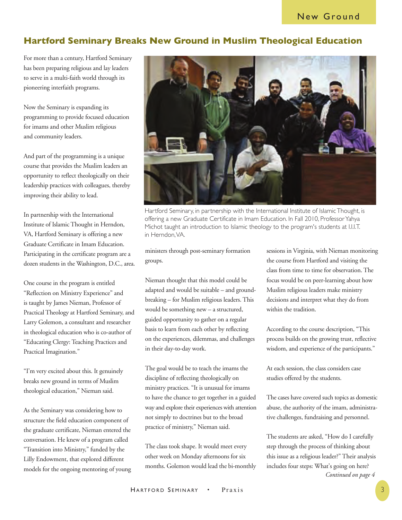# **Hartford Seminary Breaks New Ground in Muslim Theological Education**

For more than a century, Hartford Seminary has been preparing religious and lay leaders to serve in a multi-faith world through its pioneering interfaith programs.

Now the Seminary is expanding its programming to provide focused education for imams and other Muslim religious and community leaders.

And part of the programming is a unique course that provides the Muslim leaders an opportunity to reflect theologically on their leadership practices with colleagues, thereby improving their ability to lead.

In partnership with the International Institute of Islamic Thought in Herndon, VA, Hartford Seminary is offering a new Graduate Certificate in Imam Education. Participating in the certificate program are a dozen students in the Washington, D.C., area.

One course in the program is entitled "Reflection on Ministry Experience" and is taught by James Nieman, Professor of Practical Theology at Hartford Seminary, and Larry Golemon, a consultant and researcher in theological education who is co-author of "Educating Clergy: Teaching Practices and Practical Imagination."

"I'm very excited about this. It genuinely breaks new ground in terms of Muslim theological education," Nieman said.

As the Seminary was considering how to structure the field education component of the graduate certificate, Nieman entered the conversation. He knew of a program called "Transition into Ministry," funded by the Lilly Endowment, that explored different models for the ongoing mentoring of young



Hartford Seminary, in partnership with the International Institute of Islamic Thought, is offering a new Graduate Certificate in Imam Education. In Fall 2010, Professor Yahya Michot taught an introduction to Islamic theology to the program's students at I.I.I.T. in Herndon, VA.

ministers through post-seminary formation groups.

Nieman thought that this model could be adapted and would be suitable – and groundbreaking – for Muslim religious leaders. This would be something new – a structured, guided opportunity to gather on a regular basis to learn from each other by reflecting on the experiences, dilemmas, and challenges in their day-to-day work.

The goal would be to teach the imams the discipline of reflecting theologically on ministry practices. "It is unusual for imams to have the chance to get together in a guided way and explore their experiences with attention not simply to doctrines but to the broad practice of ministry," Nieman said.

The class took shape. It would meet every other week on Monday afternoons for six months. Golemon would lead the bi-monthly sessions in Virginia, with Nieman monitoring the course from Hartford and visiting the class from time to time for observation. The focus would be on peer-learning about how Muslim religious leaders make ministry decisions and interpret what they do from within the tradition.

According to the course description, "This process builds on the growing trust, reflective wisdom, and experience of the participants."

At each session, the class considers case studies offered by the students.

The cases have covered such topics as domestic abuse, the authority of the imam, administrative challenges, fundraising and personnel.

The students are asked, "How do I carefully step through the process of thinking about this issue as a religious leader?" Their analysis includes four steps: What's going on here? *Continued on page 4*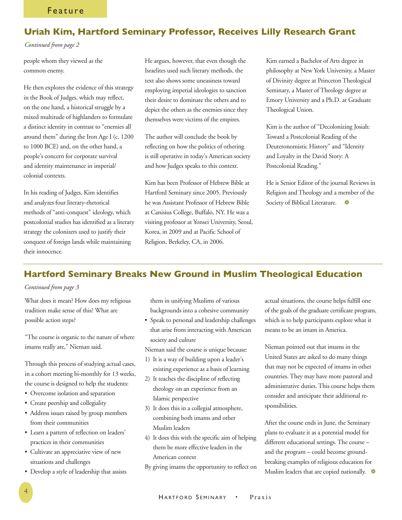## **Uriah Kim, Hartford Seminary Professor, Receives Lilly Research Grant**

#### *Continued from page 2*

people whom they viewed as the common enemy.

He then explores the evidence of this strategy in the Book of Judges, which may reflect, on the one hand, a historical struggle by a mixed multitude of highlanders to formulate a distinct identity in contrast to "enemies all around them" during the Iron Age I (c. 1200 to 1000 BCE) and, on the other hand, a people's concern for corporate survival and identity maintenance in imperial/ colonial contexts.

In his reading of Judges, Kim identifies and analyzes four literary-rhetorical methods of "anti-conquest" ideology, which postcolonial studies has identified as a literary strategy the colonizers used to justify their conquest of foreign lands while maintaining their innocence.

He argues, however, that even though the Israelites used such literary methods, the text also shows some uneasiness toward employing imperial ideologies to sanction their desire to dominate the others and to depict the others as the enemies since they themselves were victims of the empires.

The author will conclude the book by reflecting on how the politics of othering is still operative in today's American society and how Judges speaks to this context.

Kim has been Professor of Hebrew Bible at Hartford Seminary since 2005. Previously he was Assistant Professor of Hebrew Bible at Canisius College, Buffalo, NY. He was a visiting professor at Yonsei University, Seoul, Korea, in 2009 and at Pacific School of Religion, Berkeley, CA, in 2006.

Kim earned a Bachelor of Arts degree in philosophy at New York University, a Master of Divinity degree at Princeton Theological Seminary, a Master of Theology degree at Emory University and a Ph.D. at Graduate Theological Union.

Kim is the author of "Decolonizing Josiah: Toward a Postcolonial Reading of the Deuteronomistic History" and "Identity and Loyalty in the David Story: A Postcolonial Reading."

He is Senior Editor of the journal Reviews in Religion and Theology and a member of the Society of Biblical Literature.  $\bullet$ 

## **Hartford Seminary Breaks New Ground in Muslim Theological Education**

## *Continued from page 3*

What does it mean? How does my religious tradition make sense of this? What are possible action steps?

"The course is organic to the nature of where imams really are," Nieman said.

Through this process of studying actual cases, in a cohort meeting bi-monthly for 13 weeks, the course is designed to help the students:

- Overcome isolation and separation
- Create peership and collegiality
- Address issues raised by group members from their communities
- Learn a pattern of reflection on leaders' practices in their communities
- Cultivate an appreciative view of new situations and challenges
- Develop a style of leadership that assists

them in unifying Muslims of various backgrounds into a cohesive community

• Speak to personal and leadership challenges that arise from interacting with American society and culture

Nieman said the course is unique because:

- 1) It is a way of building upon a leader's existing experience as a basis of learning
- 2) It teaches the discipline of reflecting theology on an experience from an Islamic perspective
- 3) It does this in a collegial atmosphere, combining both imams and other Muslim leaders
- 4) It does this with the specific aim of helping them be more effective leaders in the American context
- By giving imams the opportunity to reflect on

actual situations, the course helps fulfill one of the goals of the graduate certificate program, which is to help participants explore what it means to be an imam in America.

Nieman pointed out that imams in the United States are asked to do many things that may not be expected of imams in other countries. They may have more pastoral and administrative duties. This course helps them consider and anticipate their additional responsibilities.

After the course ends in June, the Seminary plans to evaluate it as a potential model for different educational settings. The course – and the program – could become groundbreaking examples of religious education for Muslim leaders that are copied nationally.  $\bullet$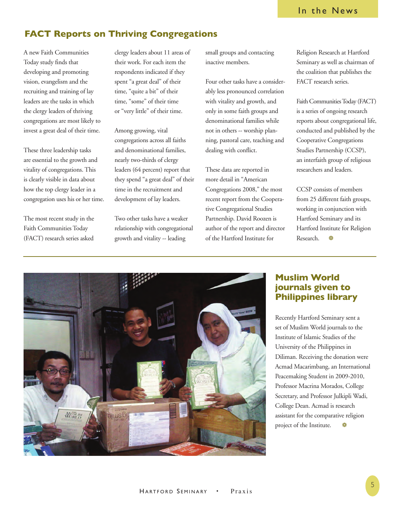# **FACT Reports on Thriving Congregations**

A new Faith Communities Today study finds that developing and promoting vision, evangelism and the recruiting and training of lay leaders are the tasks in which the clergy leaders of thriving congregations are most likely to invest a great deal of their time.

These three leadership tasks are essential to the growth and vitality of congregations. This is clearly visible in data about how the top clergy leader in a congregation uses his or her time.

The most recent study in the Faith Communities Today (FACT) research series asked

clergy leaders about 11 areas of their work. For each item the respondents indicated if they spent "a great deal" of their time, "quite a bit" of their time, "some" of their time or "very little" of their time.

Among growing, vital congregations across all faiths and denominational families, nearly two-thirds of clergy leaders (64 percent) report that they spend "a great deal" of their time in the recruitment and development of lay leaders.

Two other tasks have a weaker relationship with congregational growth and vitality -- leading

small groups and contacting inactive members.

Four other tasks have a considerably less pronounced correlation with vitality and growth, and only in some faith groups and denominational families while not in others -- worship planning, pastoral care, teaching and dealing with conflict.

These data are reported in more detail in "American Congregations 2008," the most recent report from the Cooperative Congregational Studies Partnership. David Roozen is author of the report and director of the Hartford Institute for

Religion Research at Hartford Seminary as well as chairman of the coalition that publishes the FACT research series.

Faith Communities Today (FACT) is a series of ongoing research reports about congregational life, conducted and published by the Cooperative Congregations Studies Partnership (CCSP), an interfaith group of religious researchers and leaders.

CCSP consists of members from 25 different faith groups, working in conjunction with Hartford Seminary and its Hartford Institute for Religion Research.



## **Muslim World journals given to Philippines library**

Recently Hartford Seminary sent a set of Muslim World journals to the Institute of Islamic Studies of the University of the Philippines in Diliman. Receiving the donation were Acmad Macarimbang, an International Peacemaking Student in 2009-2010, Professor Macrina Morados, College Secretary, and Professor Julkipli Wadi, College Dean. Acmad is research assistant for the comparative religion project of the Institute.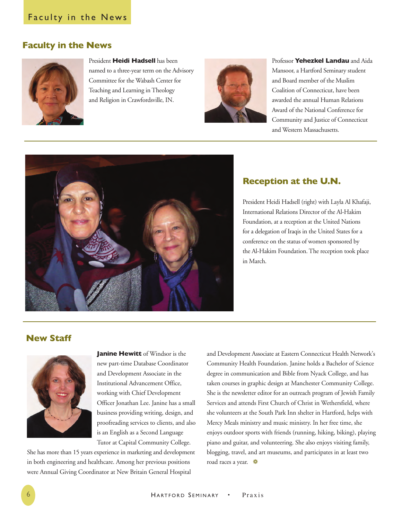# Faculty in the News

## **Faculty in the News**



President **Heidi Hadsell** has been named to a three-year term on the Advisory Committee for the Wabash Center for Teaching and Learning in Theology and Religion in Crawfordsville, IN.



Professor **Yehezkel Landau** and Aida Mansoor, a Hartford Seminary student and Board member of the Muslim Coalition of Connecticut, have been awarded the annual Human Relations Award of the National Conference for Community and Justice of Connecticut and Western Massachusetts.



## **Reception at the U.N.**

President Heidi Hadsell (right) with Layla Al Khafaji, International Relations Director of the Al-Hakim Foundation, at a reception at the United Nations for a delegation of Iraqis in the United States for a conference on the status of women sponsored by the Al-Hakim Foundation. The reception took place in March.

## **New Staff**



**Janine Hewitt** of Windsor is the new part-time Database Coordinator and Development Associate in the Institutional Advancement Office, working with Chief Development Officer Jonathan Lee. Janine has a small business providing writing, design, and proofreading services to clients, and also is an English as a Second Language Tutor at Capital Community College.

She has more than 15 years experience in marketing and development in both engineering and healthcare. Among her previous positions were Annual Giving Coordinator at New Britain General Hospital

and Development Associate at Eastern Connecticut Health Network's Community Health Foundation. Janine holds a Bachelor of Science degree in communication and Bible from Nyack College, and has taken courses in graphic design at Manchester Community College. She is the newsletter editor for an outreach program of Jewish Family Services and attends First Church of Christ in Wethersfield, where she volunteers at the South Park Inn shelter in Hartford, helps with Mercy Meals ministry and music ministry. In her free time, she enjoys outdoor sports with friends (running, hiking, biking), playing piano and guitar, and volunteering. She also enjoys visiting family, blogging, travel, and art museums, and participates in at least two road races a year.  $\bullet$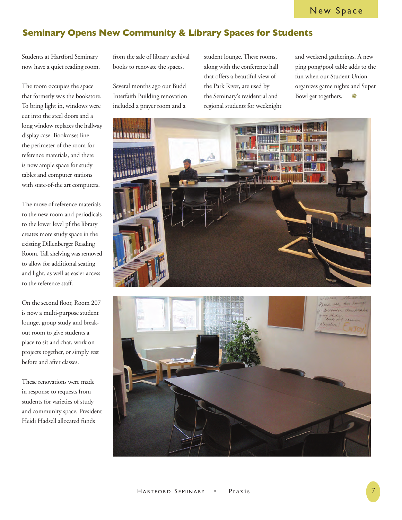# **Seminary Opens New Community & Library Spaces for Students**

Students at Hartford Seminary now have a quiet reading room.

The room occupies the space that formerly was the bookstore. To bring light in, windows were cut into the steel doors and a long window replaces the hallway display case. Bookcases line the perimeter of the room for reference materials, and there is now ample space for study tables and computer stations with state-of-the art computers.

The move of reference materials to the new room and periodicals to the lower level pf the library creates more study space in the existing Dillenberger Reading Room. Tall shelving was removed to allow for additional seating and light, as well as easier access to the reference staff.

On the second floor, Room 207 is now a multi-purpose student lounge, group study and breakout room to give students a place to sit and chat, work on projects together, or simply rest before and after classes.

These renovations were made in response to requests from students for varieties of study and community space, President Heidi Hadsell allocated funds

from the sale of library archival books to renovate the spaces.

Several months ago our Budd Interfaith Building renovation included a prayer room and a

student lounge. These rooms, along with the conference hall that offers a beautiful view of the Park River, are used by the Seminary's residential and regional students for weeknight and weekend gatherings. A new ping pong/pool table adds to the fun when our Student Union organizes game nights and Super Bowl get togethers.  $\bullet$ 



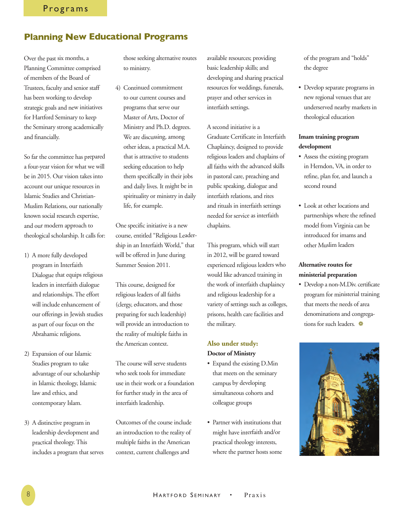# **Planning New Educational Programs**

Over the past six months, a Planning Committee comprised of members of the Board of Trustees, faculty and senior staff has been working to develop strategic goals and new initiatives for Hartford Seminary to keep the Seminary strong academically and financially.

So far the committee has prepared a four-year vision for what we will be in 2015. Our vision takes into account our unique resources in Islamic Studies and Christian-Muslim Relations, our nationally known social research expertise, and our modern approach to theological scholarship. It calls for:

- 1) A more fully developed program in Interfaith Dialogue that equips religious leaders in interfaith dialogue and relationships. The effort will include enhancement of our offerings in Jewish studies as part of our focus on the Abrahamic religions.
- 2) Expansion of our Islamic Studies program to take advantage of our scholarship in Islamic theology, Islamic law and ethics, and contemporary Islam.
- 3) A distinctive program in leadership development and practical theology. This includes a program that serves

those seeking alternative routes to ministry.

4) Continued commitment to our current courses and programs that serve our Master of Arts, Doctor of Ministry and Ph.D. degrees. We are discussing, among other ideas, a practical M.A. that is attractive to students seeking education to help them specifically in their jobs and daily lives. It might be in spirituality or ministry in daily life, for example.

One specific initiative is a new course, entitled "Religious Leadership in an Interfaith World," that will be offered in June during Summer Session 2011.

This course, designed for religious leaders of all faiths (clergy, educators, and those preparing for such leadership) will provide an introduction to the reality of multiple faiths in the American context.

The course will serve students who seek tools for immediate use in their work or a foundation for further study in the area of interfaith leadership.

Outcomes of the course include an introduction to the reality of multiple faiths in the American context, current challenges and

available resources; providing basic leadership skills; and developing and sharing practical resources for weddings, funerals, prayer and other services in interfaith settings.

A second initiative is a Graduate Certificate in Interfaith Chaplaincy, designed to provide religious leaders and chaplains of all faiths with the advanced skills in pastoral care, preaching and public speaking, dialogue and interfaith relations, and rites and rituals in interfaith settings needed for service as interfaith chaplains.

This program, which will start in 2012, will be geared toward experienced religious leaders who would like advanced training in the work of interfaith chaplaincy and religious leadership for a variety of settings such as colleges, prisons, health care facilities and the military.

## **Also under study: Doctor of Ministry**

- Expand the existing D.Min that meets on the seminary campus by developing simultaneous cohorts and colleague groups
- Partner with institutions that might have interfaith and/or practical theology interests, where the partner hosts some

of the program and "holds" the degree

• Develop separate programs in new regional venues that are underserved nearby markets in theological education

## **Imam training program development**

- Assess the existing program in Herndon, VA, in order to refine, plan for, and launch a second round
- Look at other locations and partnerships where the refined model from Virginia can be introduced for imams and other Muslim leaders

## **Alternative routes for ministerial preparation**

• Develop a non-M.Div. certificate program for ministerial training that meets the needs of area denominations and congregations for such leaders.  $\bullet$ 

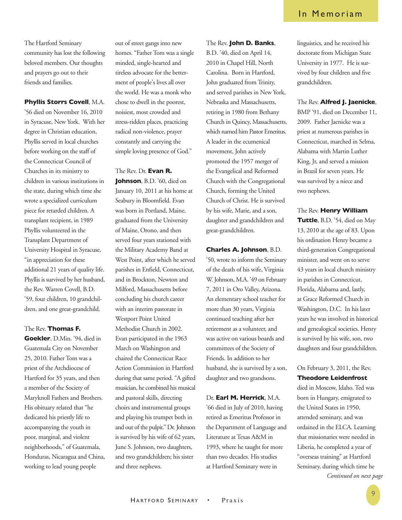The Hartford Seminary community has lost the following beloved members. Our thoughts and prayers go out to their friends and families.

#### **Phyllis Storrs Covell**, M.A.

'56 died on November 16, 2010 in Syracuse, New York. With her degree in Christian education, Phyllis served in local churches before working on the staff of the Connecticut Council of Churches in its ministry to children in various institutions in the state, during which time she wrote a specialized curriculum piece for retarded children. A transplant recipient, in 1989 Phyllis volunteered in the Transplant Department of University Hospital in Syracuse, "in appreciation for these additional 21 years of quality life. Phyllis is survived by her husband, the Rev. Warren Covell, B.D. '59, four children, 10 grandchildren, and one great-grandchild.

The Rev. **Thomas F. Goekler**, D.Min. '94, died in Guatemala City on November 25, 2010. Father Tom was a priest of the Archdiocese of Hartford for 35 years, and then a member of the Society of Maryknoll Fathers and Brothers. His obituary related that "he dedicated his priestly life to accompanying the youth in poor, marginal, and violent neighborhoods," of Guatemala, Honduras, Nicaragua and China, working to lead young people

out of street gangs into new homes. "Father Tom was a single minded, single-hearted and tireless advocate for the betterment of people's lives all over the world. He was a monk who chose to dwell in the poorest, noisiest, most crowded and stress-ridden places, practicing radical non-violence, prayer constantly and carrying the simple loving presence of God."

#### The Rev. Dr. **Evan R.**

**Johnson**, B.D. '60, died on January 10, 2011 at his home at Seabury in Bloomfield. Evan was born in Portland, Maine, graduated from the University of Maine, Orono, and then served four years stationed with the Military Academy Band at West Point, after which he served parishes in Enfield, Connecticut, and in Brockton, Newton and Milford, Massachusetts before concluding his church career with an interim pastorate in Westport Point United Methodist Church in 2002. Evan participated in the 1963 March on Washington and chaired the Connecticut Race Action Commission in Hartford during that same period. "A gifted musician, he combined his musical and pastoral skills, directing choirs and instrumental groups and playing his trumpet both in and out of the pulpit." Dr. Johnson is survived by his wife of 62 years, June S. Johnson, two daughters, and two grandchildren; his sister and three nephews.

The Rev. **John D. Banks**, B.D. '40, died on April 14, 2010 in Chapel Hill, North Carolina. Born in Hartford, John graduated from Trinity, and served parishes in New York, Nebraska and Massachusetts, retiring in 1980 from Bethany Church in Quincy, Massachusetts, which named him Pastor Emeritus. A leader in the ecumenical movement, John actively promoted the 1957 merger of the Evangelical and Reformed Church with the Congregational Church, forming the United Church of Christ. He is survived by his wife, Marie, and a son, daughter and grandchildren and great-grandchildren.

#### **Charles A. Johnson**, B.D.

'50, wrote to inform the Seminary of the death of his wife, Virginia W. Johnson, M.A. '49 on February 7, 2011 in Oro Valley, Arizona. An elementary school teacher for more than 30 years, Virginia continued teaching after her retirement as a volunteer, and was active on various boards and committees of the Society of Friends. In addition to her husband, she is survived by a son, daughter and two grandsons.

## Dr. **Earl M. Herrick**, M.A.

'66 died in July of 2010, having retired as Emeritus Professor in the Department of Language and Literature at Texas A&M in 1993, where he taught for more than two decades. His studies at Hartford Seminary were in

## In Memoriam

linguistics, and he received his doctorate from Michigan State University in 1977. He is survived by four children and five grandchildren.

#### The Rev. **Alfred J. Jaenicke**,

BMP '91, died on December 11, 2009. Father Jaenicke was a priest at numerous parishes in Connecticut, marched in Selma, Alabama with Martin Luther King, Jr, and served a mission in Brazil for seven years. He was survived by a niece and two nephews.

The Rev. **Henry William Tuttle**, B.D. '54, died on May 13, 2010 at the age of 83. Upon his ordination Henry became a third-generation Congregational minister, and went on to serve 43 years in local church ministry in parishes in Connecticut, Florida, Alabama and, lastly, at Grace Reformed Church in Washington, D.C. In his later years he was involved in historical and genealogical societies. Henry is survived by his wife, son, two daughters and four grandchildren.

## On February 3, 2011, the Rev. **Theodore Leidenfrost**

died in Moscow, Idaho. Ted was born in Hungary, emigrated to the United States in 1950, attended seminary, and was ordained in the ELCA. Learning that missionaries were needed in Liberia, he completed a year of "overseas training" at Hartford Seminary, during which time he *Continued on next page*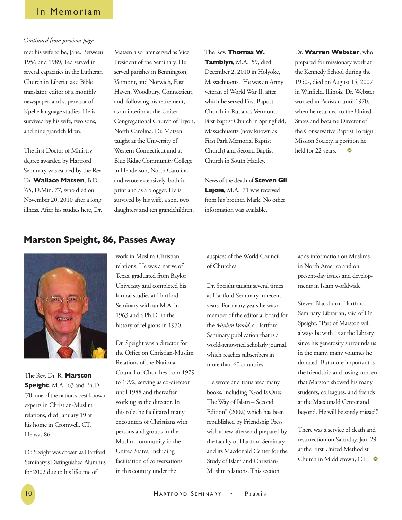## In Memoriam

#### *Continued from previous page*

met his wife to be, Jane. Between 1956 and 1989, Ted served in several capacities in the Lutheran Church in Liberia: as a Bible translator, editor of a monthly newspaper, and supervisor of Kpelle language studies. He is survived by his wife, two sons, and nine grandchildren.

The first Doctor of Ministry degree awarded by Hartford Seminary was earned by the Rev. Dr. **Wallace Matsen**, B.D. '65, D.Min. 77, who died on November 20, 2010 after a long illness. After his studies here, Dr.

Matsen also later served as Vice President of the Seminary. He served parishes in Bennington, Vermont, and Norwich, East Haven, Woodbury, Connecticut, and, following his retirement, as an interim at the United Congregational Church of Tryon, North Carolina. Dr. Matsen taught at the University of Western Connecticut and at Blue Ridge Community College in Henderson, North Carolina, and wrote extensively, both in print and as a blogger. He is survived by his wife, a son, two daughters and ten grandchildren.

The Rev. **Thomas W. Tamblyn**, M.A. '59, died December 2, 2010 in Holyoke, Massachusetts. He was an Army veteran of World War II, after which he served First Baptist Church in Rutland, Vermont, First Baptist Church in Springfield, Massachusetts (now known as First Park Memorial Baptist Church) and Second Baptist Church in South Hadley.

News of the death of **Steven Gil Lajoie**, M.A. '71 was received from his brother, Mark. No other information was available.

Dr. **Warren Webster**, who prepared for missionary work at the Kennedy School during the 1950s, died on August 15, 2007 in Winfield, Illinois. Dr. Webster worked in Pakistan until 1970, when he returned to the United States and became Director of the Conservative Baptist Foreign Mission Society, a position he held for 22 years.  $\bullet$ 

# **Marston Speight, 86, Passes Away**



The Rev. Dr. R. **Marston Speight**, M.A. '63 and Ph.D. '70, one of the nation's best-known experts in Christian-Muslim relations, died January 19 at his home in Cromwell, CT. He was 86.

Dr. Speight was chosen as Hartford Seminary's Distinguished Alumnus for 2002 due to his lifetime of

work in Muslim-Christian relations. He was a native of Texas, graduated from Baylor University and completed his formal studies at Hartford Seminary with an M.A. in 1963 and a Ph.D. in the history of religions in 1970.

Dr. Speight was a director for the Office on Christian-Muslim Relations of the National Council of Churches from 1979 to 1992, serving as co-director until 1988 and thereafter working as the director. In this role, he facilitated many encounters of Christians with persons and groups in the Muslim community in the United States, including facilitation of conversations in this country under the

auspices of the World Council of Churches.

Dr. Speight taught several times at Hartford Seminary in recent years. For many years he was a member of the editorial board for the *Muslim World,* a Hartford Seminary publication that is a world-renowned scholarly journal, which reaches subscribers in more than 60 countries.

He wrote and translated many books, including "God Is One: The Way of Islam – Second Edition" (2002) which has been republished by Friendship Press with a new afterword prepared by the faculty of Hartford Seminary and its Macdonald Center for the Study of Islam and Christian-Muslim relations. This section

adds information on Muslims in North America and on present-day issues and developments in Islam worldwide.

Steven Blackburn, Hartford Seminary Librarian, said of Dr. Speight, "Part of Marston will always be with us at the Library, since his generosity surrounds us in the many, many volumes he donated. But more important is the friendship and loving concern that Marston showed his many students, colleagues, and friends at the Macdonald Center and beyond. He will be sorely missed."

There was a service of death and resurrection on Saturday, Jan. 29 at the First United Methodist Church in Middletown, CT.  $\quad$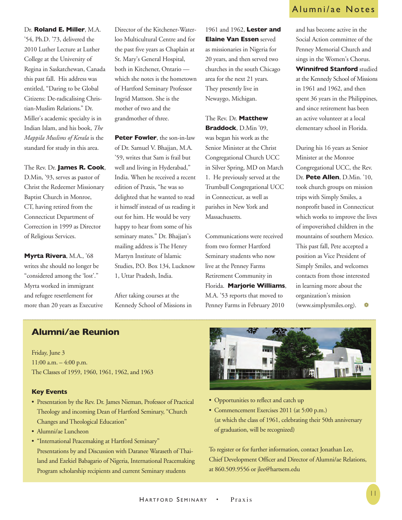# Dr. **Roland E. Miller**, M.A. '54, Ph.D. '73, delivered the 2010 Luther Lecture at Luther College at the University of Regina in Saskatchewan, Canada this past fall. His address was entitled, "Daring to be Global Citizens: De-radicalising Christian-Muslim Relations." Dr. Miller's academic specialty is in Indian Islam, and his book, *The Mappila Muslims of Kerala* is the standard for study in this area.

The Rev. Dr. **James R. Cook**, D.Min, '93, serves as pastor of Christ the Redeemer Missionary Baptist Church in Monroe, CT, having retired from the Connecticut Department of Correction in 1999 as Director of Religious Services.

**Myrta Rivera**, M.A., '68 writes she should no longer be "considered among the 'lost'." Myrta worked in immigrant and refugee resettlement for more than 20 years as Executive Director of the Kitchener-Waterloo Multicultural Centre and for the past five years as Chaplain at St. Mary's General Hospital, both in Kitchener, Ontario which she notes is the hometown of Hartford Seminary Professor Ingrid Mattson. She is the mother of two and the grandmother of three.

**Peter Fowler**, the son-in-law of Dr. Samuel V. Bhajjan, M.A. '59, writes that Sam is frail but well and living in Hyderabad," India. When he received a recent edition of Praxis, "he was so delighted that he wanted to read it himself instead of us reading it out for him. He would be very happy to hear from some of his seminary mates." Dr. Bhajjan's mailing address is The Henry Martyn Institute of Islamic Studies, P.O. Box 134, Lucknow 1, Uttar Pradesh, India.

After taking courses at the Kennedy School of Missions in 1961 and 1962, **Lester and Elaine Van Essen** served as missionaries in Nigeria for 20 years, and then served two churches in the south Chicago area for the next 21 years. They presently live in Newaygo, Michigan.

The Rev. Dr. **Matthew Braddock**, D.Min '09, was began his work as the Senior Minister at the Christ Congregational Church UCC in Silver Spring, MD on March 1. He previously served at the Trumbull Congregational UCC in Connecticut, as well as parishes in New York and Massachusetts.

Communications were received from two former Hartford Seminary students who now live at the Penney Farms Retirement Community in Florida. **Marjorie Williams**, M.A. '53 reports that moved to Penney Farms in February 2010

# Alumni/ae Notes

and has become active in the Social Action committee of the Penney Memorial Church and sings in the Women's Chorus. **Winnifred Stanford** studied at the Kennedy School of Missions in 1961 and 1962, and then spent 36 years in the Philippines, and since retirement has been an active volunteer at a local elementary school in Florida.

During his 16 years as Senior Minister at the Monroe Congregational UCC, the Rev. Dr. **Pete Allen**, D.Min. '10, took church groups on mission trips with Simply Smiles, a nonprofit based in Connecticut which works to improve the lives of impoverished children in the mountains of southern Mexico. This past fall, Pete accepted a position as Vice President of Simply Smiles, and welcomes contacts from those interested in learning more about the organization's mission (www.simplysmiles.org).  $\bullet$ 

# **Alumni/ae Reunion**

Friday, June 3 11:00 a.m. – 4:00 p.m. The Classes of 1959, 1960, 1961, 1962, and 1963

## **Key Events**

- Presentation by the Rev. Dr. James Nieman, Professor of Practical Theology and incoming Dean of Hartford Seminary, "Church Changes and Theological Education"
- Alumni/ae Luncheon
- "International Peacemaking at Hartford Seminary" Presentations by and Discussion with Daranee Waraseth of Thailand and Ezekiel Babagario of Nigeria, International Peacemaking Program scholarship recipients and current Seminary students



- Opportunities to reflect and catch up
- Commencement Exercises 2011 (at 5:00 p.m.) (at which the class of 1961, celebrating their 50th anniversary of graduation, will be recognized)

To register or for further information, contact Jonathan Lee, Chief Development Officer and Director of Alumni/ae Relations, at 860.509.9556 or jlee@hartsem.edu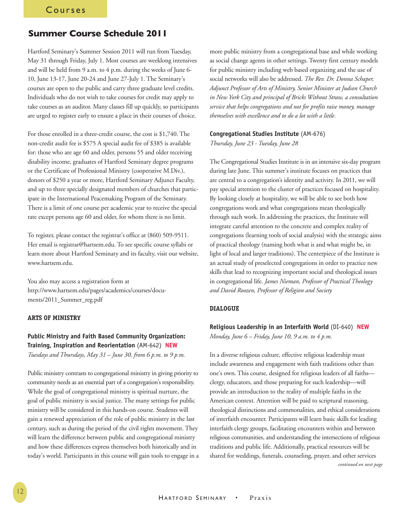## **Summer Course Schedule 2011**

Hartford Seminary's Summer Session 2011 will run from Tuesday, May 31 through Friday, July 1. Most courses are weeklong intensives and will be held from 9 a.m. to 4 p.m. during the weeks of June 6- 10, June 13-17, June 20-24 and June 27-July 1. The Seminary's courses are open to the public and carry three graduate level credits. Individuals who do not wish to take courses for credit may apply to take courses as an auditor. Many classes fill up quickly, so participants are urged to register early to ensure a place in their courses of choice.

For those enrolled in a three-credit course, the cost is \$1,740. The non-credit audit fee is \$575 A special audit fee of \$385 is available for: those who are age 60 and older, persons 55 and older receiving disability income, graduates of Hartford Seminary degree programs or the Certificate of Professional Ministry (cooperative M.Div.), donors of \$250 a year or more, Hartford Seminary Adjunct Faculty, and up to three specially designated members of churches that participate in the International Peacemaking Program of the Seminary. There is a limit of one course per academic year to receive the special rate except persons age 60 and older, for whom there is no limit.

To register, please contact the registrar's office at (860) 509-9511. Her email is registrar@hartsem.edu. To see specific course syllabi or learn more about Hartford Seminary and its faculty, visit our website, www.hartsem.edu.

You also may access a registration form at http://www.hartsem.edu/pages/academics/courses/documents/2011\_Summer\_reg.pdf

## **ARTS OF MINISTRY**

## **Public Ministry and Faith Based Community Organization: Training, Inspiration and Reorientation** (AM-642) **NEW**

*Tuesdays and Thursdays, May 31 – June 30, from 6 p.m. to 9 p.m.* 

Public ministry contrasts to congregational ministry in giving priority to community needs as an essential part of a congregation's responsibility. While the goal of congregational ministry is spiritual nurture, the goal of public ministry is social justice. The many settings for public ministry will be considered in this hands-on course. Students will gain a renewed appreciation of the role of public ministry in the last century, such as during the period of the civil rights movement. They will learn the difference between public and congregational ministry and how these differences express themselves both historically and in today's world. Participants in this course will gain tools to engage in a more public ministry from a congregational base and while working as social change agents in other settings. Twenty first century models for public ministry including web based organizing and the use of social networks will also be addressed. *The Rev. Dr. Donna Schaper, Adjunct Professor of Arts of Ministry, Senior Minister at Judson Church in New York City and principal of Bricks Without Straw, a consultation service that helps congregations and not for profits raise money, manage themselves with excellence and to do a lot with a little.* 

#### **Congregational Studies Institute** (AM-676)

*Thursday, June 23 - Tuesday, June 28* 

The Congregational Studies Institute is in an intensive six-day program during late June. This summer's institute focuses on practices that are central to a congregation's identity and activity. In 2011, we will pay special attention to the cluster of practices focused on hospitality. By looking closely at hospitality, we will be able to see both how congregations work and what congregations mean theologically through such work. In addressing the practices, the Institute will integrate careful attention to the concrete and complex reality of congregations (learning tools of social analysis) with the strategic aims of practical theology (naming both what is and what might be, in light of local and larger traditions). The centerpiece of the Institute is an actual study of preselected congregations in order to practice new skills that lead to recognizing important social and theological issues in congregational life. *James Nieman, Professor of Practical Theology and David Roozen, Professor of Religion and Society*

#### **DIALOGUE**

## **Religious Leadership in an Interfaith World** (DI-640) **NEW** *Monday, June 6 – Friday, June 10, 9 a.m. to 4 p.m.*

In a diverse religious culture, effective religious leadership must include awareness and engagement with faith traditions other than one's own. This course, designed for religious leaders of all faiths clergy, educators, and those preparing for such leadership—will provide an introduction to the reality of multiple faiths in the American context. Attention will be paid to scriptural reasoning, theological distinctions and commonalities, and ethical considerations of interfaith encounter. Participants will learn basic skills for leading interfaith clergy groups, facilitating encounters within and between religious communities, and understanding the intersections of religious traditions and public life. Additionally, practical resources will be shared for weddings, funerals, counseling, prayer, and other services *continued on next page*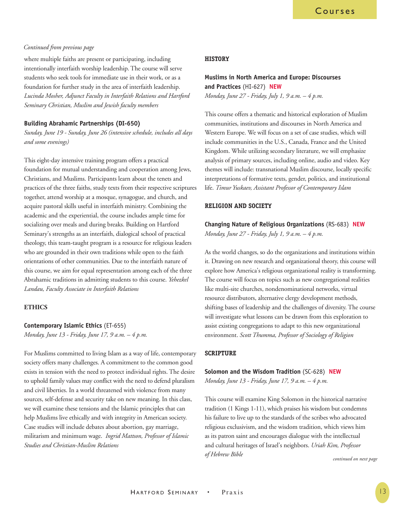## *Continued from previous page*

where multiple faiths are present or participating, including intentionally interfaith worship leadership. The course will serve students who seek tools for immediate use in their work, or as a foundation for further study in the area of interfaith leadership. *Lucinda Mosher, Adjunct Faculty in Interfaith Relations and Hartford Seminary Christian, Muslim and Jewish faculty members*

## **Building Abrahamic Partnerships (DI-650)**

*Sunday, June 19 - Sunday, June 26 (intensive schedule, includes all days and some evenings)* 

This eight-day intensive training program offers a practical foundation for mutual understanding and cooperation among Jews, Christians, and Muslims. Participants learn about the tenets and practices of the three faiths, study texts from their respective scriptures together, attend worship at a mosque, synagogue, and church, and acquire pastoral skills useful in interfaith ministry. Combining the academic and the experiential, the course includes ample time for socializing over meals and during breaks. Building on Hartford Seminary's strengths as an interfaith, dialogical school of practical theology, this team-taught program is a resource for religious leaders who are grounded in their own traditions while open to the faith orientations of other communities. Due to the interfaith nature of this course, we aim for equal representation among each of the three Abrahamic traditions in admitting students to this course. *Yehezkel Landau, Faculty Associate in Interfaith Relations*

## **ETHICS**

#### **Contemporary Islamic Ethics** (ET-655)

*Monday, June 13 - Friday, June 17, 9 a.m. – 4 p.m.*

For Muslims committed to living Islam as a way of life, contemporary society offers many challenges. A commitment to the common good exists in tension with the need to protect individual rights. The desire to uphold family values may conflict with the need to defend pluralism and civil liberties. In a world threatened with violence from many sources, self-defense and security take on new meaning. In this class, we will examine these tensions and the Islamic principles that can help Muslims live ethically and with integrity in American society. Case studies will include debates about abortion, gay marriage, militarism and minimum wage. *Ingrid Mattson, Professor of Islamic Studies and Christian-Muslim Relations*

#### **HISTORY**

## **Muslims in North America and Europe: Discourses and Practices** (HI-627) **NEW**

*Monday, June 27 - Friday, July 1, 9 a.m. – 4 p.m.*

This course offers a thematic and historical exploration of Muslim communities, institutions and discourses in North America and Western Europe. We will focus on a set of case studies, which will include communities in the U.S., Canada, France and the United Kingdom. While utilizing secondary literature, we will emphasize analysis of primary sources, including online, audio and video. Key themes will include: transnational Muslim discourse, locally specific interpretations of formative texts, gender, politics, and institutional life. *Timur Yuskaev, Assistant Professor of Contemporary Islam*

## **RELIGION AND SOCIETY**

**Changing Nature of Religious Organizations** (RS-683) **NEW** *Monday, June 27 - Friday, July 1, 9 a.m. – 4 p.m.*

As the world changes, so do the organizations and institutions within it. Drawing on new research and organizational theory, this course will explore how America's religious organizational reality is transforming. The course will focus on topics such as new congregational realities like multi-site churches, nondenominational networks, virtual resource distributors, alternative clergy development methods, shifting bases of leadership and the challenges of diversity. The course will investigate what lessons can be drawn from this exploration to assist existing congregations to adapt to this new organizational environment. *Scott Thumma, Professor of Sociology of Religion* 

#### **SCRIPTURE**

# **Solomon and the Wisdom Tradition** (SC-628) **NEW**

*Monday, June 13 - Friday, June 17, 9 a.m. – 4 p.m.*

This course will examine King Solomon in the historical narrative tradition (1 Kings 1-11), which praises his wisdom but condemns his failure to live up to the standards of the scribes who advocated religious exclusivism, and the wisdom tradition, which views him as its patron saint and encourages dialogue with the intellectual and cultural heritages of Israel's neighbors. *Uriah Kim, Professor of Hebrew Bible*

*continued on next page*